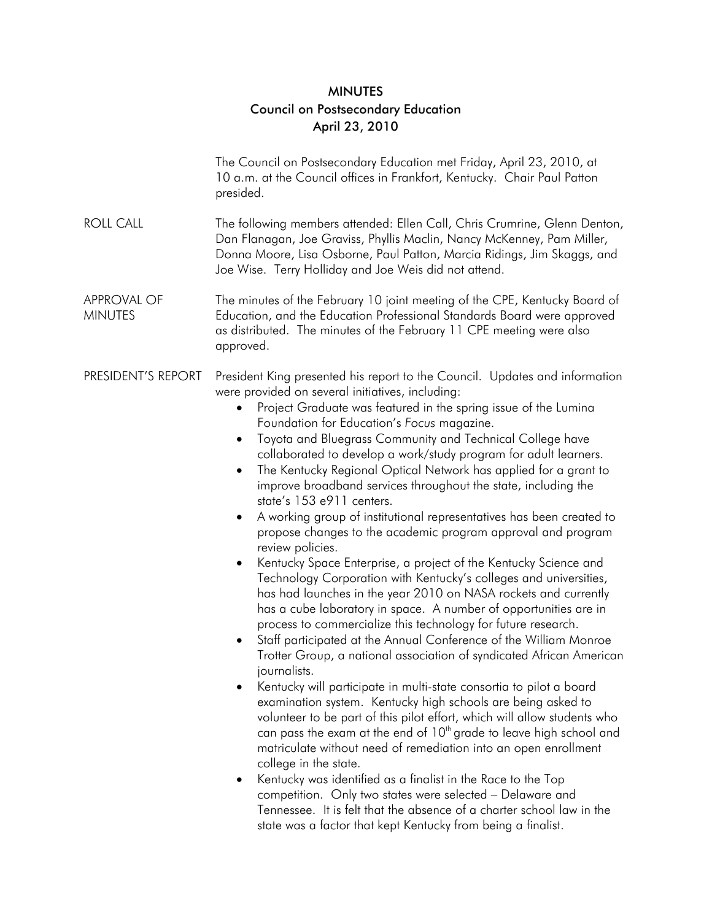## **MINUTES** Council on Postsecondary Education April 23, 2010

|                                      | The Council on Postsecondary Education met Friday, April 23, 2010, at<br>10 a.m. at the Council offices in Frankfort, Kentucky. Chair Paul Patton<br>presided.                                                                                                                                                                                                                                                                                                                                                                                                                                                                                                                                                                                                                                                                                                                                                                                                                                                                                                                                                                                                                                                                                                                                                                                                                                                                                                                                                                                                                                                                                                                                                                                                                                                                                                                                                            |
|--------------------------------------|---------------------------------------------------------------------------------------------------------------------------------------------------------------------------------------------------------------------------------------------------------------------------------------------------------------------------------------------------------------------------------------------------------------------------------------------------------------------------------------------------------------------------------------------------------------------------------------------------------------------------------------------------------------------------------------------------------------------------------------------------------------------------------------------------------------------------------------------------------------------------------------------------------------------------------------------------------------------------------------------------------------------------------------------------------------------------------------------------------------------------------------------------------------------------------------------------------------------------------------------------------------------------------------------------------------------------------------------------------------------------------------------------------------------------------------------------------------------------------------------------------------------------------------------------------------------------------------------------------------------------------------------------------------------------------------------------------------------------------------------------------------------------------------------------------------------------------------------------------------------------------------------------------------------------|
| <b>ROLL CALL</b>                     | The following members attended: Ellen Call, Chris Crumrine, Glenn Denton,<br>Dan Flanagan, Joe Graviss, Phyllis Maclin, Nancy McKenney, Pam Miller,<br>Donna Moore, Lisa Osborne, Paul Patton, Marcia Ridings, Jim Skaggs, and<br>Joe Wise. Terry Holliday and Joe Weis did not attend.                                                                                                                                                                                                                                                                                                                                                                                                                                                                                                                                                                                                                                                                                                                                                                                                                                                                                                                                                                                                                                                                                                                                                                                                                                                                                                                                                                                                                                                                                                                                                                                                                                   |
| <b>APPROVAL OF</b><br><b>MINUTES</b> | The minutes of the February 10 joint meeting of the CPE, Kentucky Board of<br>Education, and the Education Professional Standards Board were approved<br>as distributed. The minutes of the February 11 CPE meeting were also<br>approved.                                                                                                                                                                                                                                                                                                                                                                                                                                                                                                                                                                                                                                                                                                                                                                                                                                                                                                                                                                                                                                                                                                                                                                                                                                                                                                                                                                                                                                                                                                                                                                                                                                                                                |
| PRESIDENT'S REPORT                   | President King presented his report to the Council. Updates and information<br>were provided on several initiatives, including:<br>Project Graduate was featured in the spring issue of the Lumina<br>٠<br>Foundation for Education's Focus magazine.<br>Toyota and Bluegrass Community and Technical College have<br>$\bullet$<br>collaborated to develop a work/study program for adult learners.<br>The Kentucky Regional Optical Network has applied for a grant to<br>$\bullet$<br>improve broadband services throughout the state, including the<br>state's 153 e911 centers.<br>A working group of institutional representatives has been created to<br>$\bullet$<br>propose changes to the academic program approval and program<br>review policies.<br>Kentucky Space Enterprise, a project of the Kentucky Science and<br>$\bullet$<br>Technology Corporation with Kentucky's colleges and universities,<br>has had launches in the year 2010 on NASA rockets and currently<br>has a cube laboratory in space. A number of opportunities are in<br>process to commercialize this technology for future research.<br>Staff participated at the Annual Conference of the William Monroe<br>$\bullet$<br>Trotter Group, a national association of syndicated African American<br>journalists.<br>Kentucky will participate in multi-state consortia to pilot a board<br>examination system. Kentucky high schools are being asked to<br>volunteer to be part of this pilot effort, which will allow students who<br>can pass the exam at the end of 10 <sup>th</sup> grade to leave high school and<br>matriculate without need of remediation into an open enrollment<br>college in the state.<br>Kentucky was identified as a finalist in the Race to the Top<br>$\bullet$<br>competition. Only two states were selected - Delaware and<br>Tennessee. It is felt that the absence of a charter school law in the |

state was a factor that kept Kentucky from being a finalist.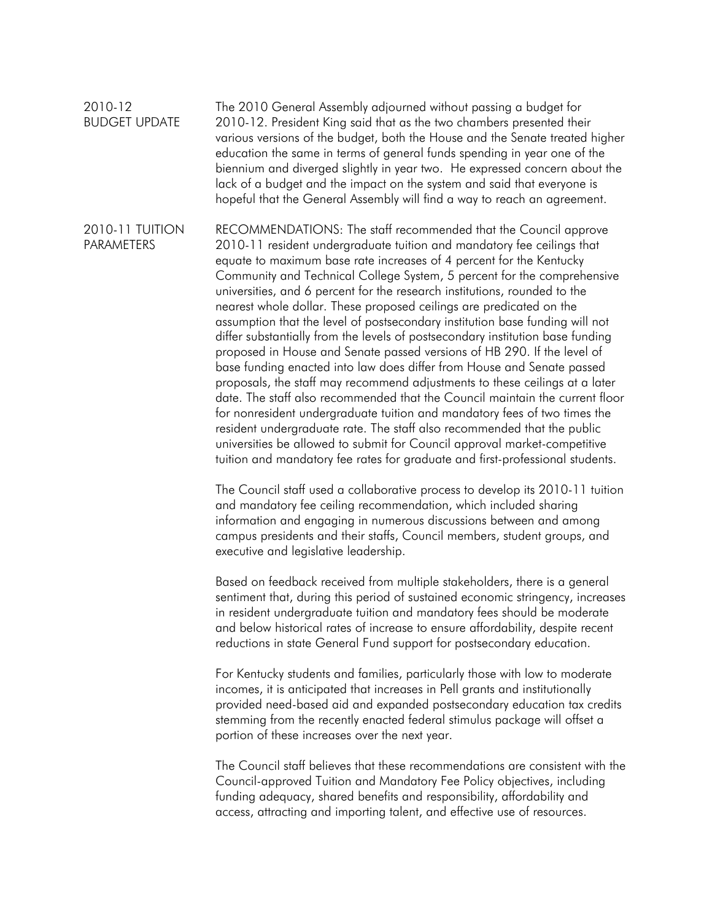2010-12 BUDGET UPDATE The 2010 General Assembly adjourned without passing a budget for 2010-12. President King said that as the two chambers presented their various versions of the budget, both the House and the Senate treated higher education the same in terms of general funds spending in year one of the biennium and diverged slightly in year two. He expressed concern about the lack of a budget and the impact on the system and said that everyone is hopeful that the General Assembly will find a way to reach an agreement.

2010-11 TUITION PARAMETERS RECOMMENDATIONS: The staff recommended that the Council approve 2010-11 resident undergraduate tuition and mandatory fee ceilings that equate to maximum base rate increases of 4 percent for the Kentucky Community and Technical College System, 5 percent for the comprehensive universities, and 6 percent for the research institutions, rounded to the nearest whole dollar. These proposed ceilings are predicated on the assumption that the level of postsecondary institution base funding will not differ substantially from the levels of postsecondary institution base funding proposed in House and Senate passed versions of HB 290. If the level of base funding enacted into law does differ from House and Senate passed proposals, the staff may recommend adjustments to these ceilings at a later date. The staff also recommended that the Council maintain the current floor for nonresident undergraduate tuition and mandatory fees of two times the resident undergraduate rate. The staff also recommended that the public universities be allowed to submit for Council approval market-competitive tuition and mandatory fee rates for graduate and first-professional students.

> The Council staff used a collaborative process to develop its 2010-11 tuition and mandatory fee ceiling recommendation, which included sharing information and engaging in numerous discussions between and among campus presidents and their staffs, Council members, student groups, and executive and legislative leadership.

> Based on feedback received from multiple stakeholders, there is a general sentiment that, during this period of sustained economic stringency, increases in resident undergraduate tuition and mandatory fees should be moderate and below historical rates of increase to ensure affordability, despite recent reductions in state General Fund support for postsecondary education.

 For Kentucky students and families, particularly those with low to moderate incomes, it is anticipated that increases in Pell grants and institutionally provided need-based aid and expanded postsecondary education tax credits stemming from the recently enacted federal stimulus package will offset a portion of these increases over the next year.

 The Council staff believes that these recommendations are consistent with the Council-approved Tuition and Mandatory Fee Policy objectives, including funding adequacy, shared benefits and responsibility, affordability and access, attracting and importing talent, and effective use of resources.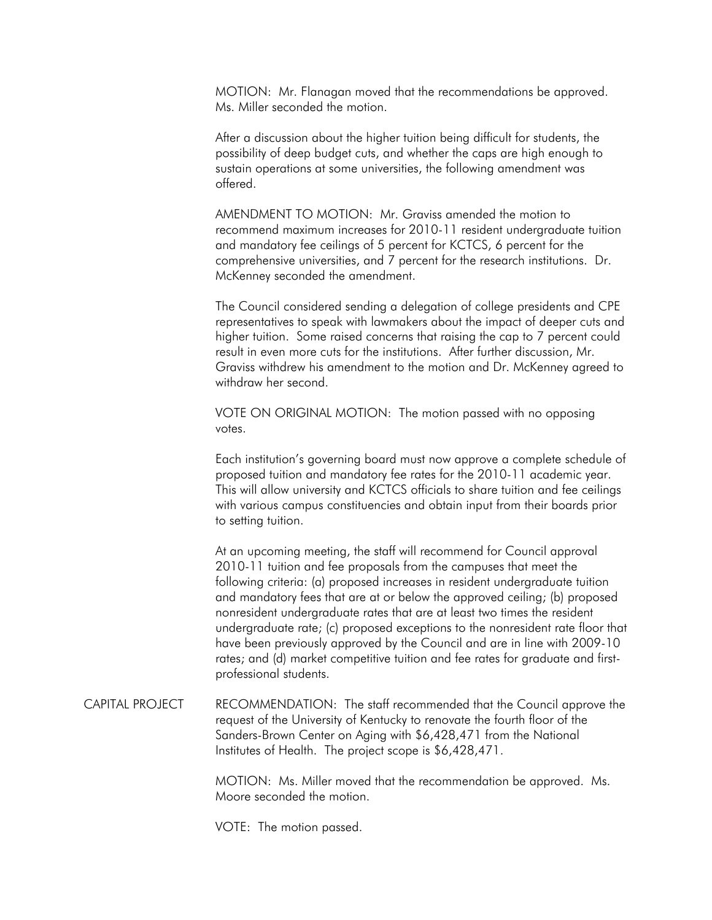MOTION: Mr. Flanagan moved that the recommendations be approved. Ms. Miller seconded the motion.

 After a discussion about the higher tuition being difficult for students, the possibility of deep budget cuts, and whether the caps are high enough to sustain operations at some universities, the following amendment was offered.

 AMENDMENT TO MOTION: Mr. Graviss amended the motion to recommend maximum increases for 2010-11 resident undergraduate tuition and mandatory fee ceilings of 5 percent for KCTCS, 6 percent for the comprehensive universities, and 7 percent for the research institutions. Dr. McKenney seconded the amendment.

 The Council considered sending a delegation of college presidents and CPE representatives to speak with lawmakers about the impact of deeper cuts and higher tuition. Some raised concerns that raising the cap to 7 percent could result in even more cuts for the institutions. After further discussion, Mr. Graviss withdrew his amendment to the motion and Dr. McKenney agreed to withdraw her second.

 VOTE ON ORIGINAL MOTION: The motion passed with no opposing votes.

 Each institution's governing board must now approve a complete schedule of proposed tuition and mandatory fee rates for the 2010-11 academic year. This will allow university and KCTCS officials to share tuition and fee ceilings with various campus constituencies and obtain input from their boards prior to setting tuition.

 At an upcoming meeting, the staff will recommend for Council approval 2010-11 tuition and fee proposals from the campuses that meet the following criteria: (a) proposed increases in resident undergraduate tuition and mandatory fees that are at or below the approved ceiling; (b) proposed nonresident undergraduate rates that are at least two times the resident undergraduate rate; (c) proposed exceptions to the nonresident rate floor that have been previously approved by the Council and are in line with 2009-10 rates; and (d) market competitive tuition and fee rates for graduate and firstprofessional students.

CAPITAL PROJECT RECOMMENDATION: The staff recommended that the Council approve the request of the University of Kentucky to renovate the fourth floor of the Sanders-Brown Center on Aging with \$6,428,471 from the National Institutes of Health. The project scope is \$6,428,471.

> MOTION: Ms. Miller moved that the recommendation be approved. Ms. Moore seconded the motion.

VOTE: The motion passed.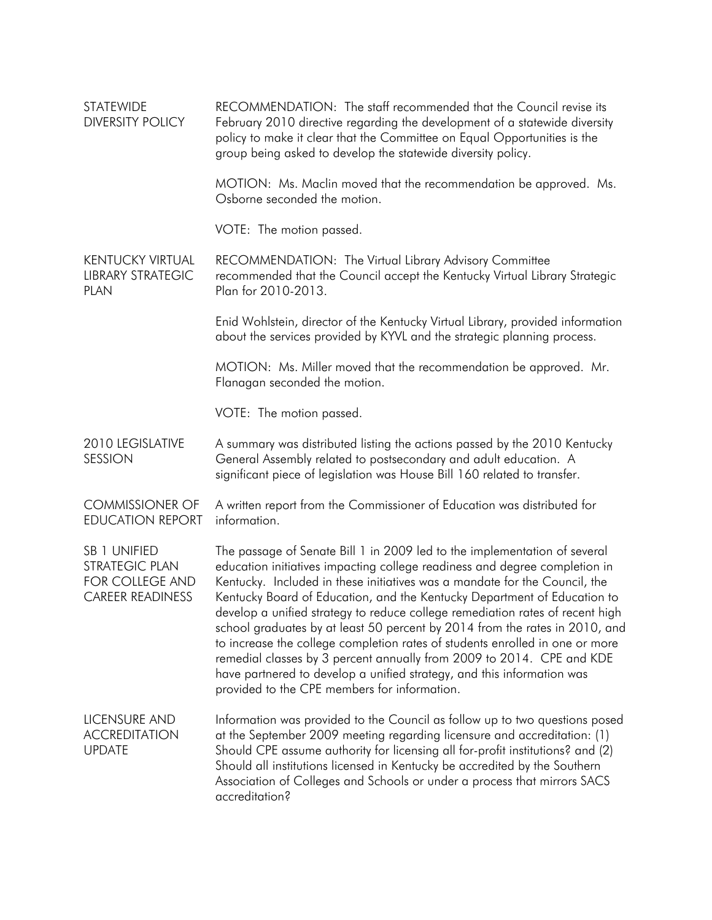| <b>STATEWIDE</b><br><b>DIVERSITY POLICY</b>                                  | RECOMMENDATION: The staff recommended that the Council revise its<br>February 2010 directive regarding the development of a statewide diversity<br>policy to make it clear that the Committee on Equal Opportunities is the<br>group being asked to develop the statewide diversity policy.                                                                                                                                                                                                                                                                                                                                                                                                                                                                          |
|------------------------------------------------------------------------------|----------------------------------------------------------------------------------------------------------------------------------------------------------------------------------------------------------------------------------------------------------------------------------------------------------------------------------------------------------------------------------------------------------------------------------------------------------------------------------------------------------------------------------------------------------------------------------------------------------------------------------------------------------------------------------------------------------------------------------------------------------------------|
|                                                                              | MOTION: Ms. Maclin moved that the recommendation be approved. Ms.<br>Osborne seconded the motion.                                                                                                                                                                                                                                                                                                                                                                                                                                                                                                                                                                                                                                                                    |
|                                                                              | VOTE: The motion passed.                                                                                                                                                                                                                                                                                                                                                                                                                                                                                                                                                                                                                                                                                                                                             |
| <b>KENTUCKY VIRTUAL</b><br><b>LIBRARY STRATEGIC</b><br><b>PLAN</b>           | RECOMMENDATION: The Virtual Library Advisory Committee<br>recommended that the Council accept the Kentucky Virtual Library Strategic<br>Plan for 2010-2013.                                                                                                                                                                                                                                                                                                                                                                                                                                                                                                                                                                                                          |
|                                                                              | Enid Wohlstein, director of the Kentucky Virtual Library, provided information<br>about the services provided by KYVL and the strategic planning process.                                                                                                                                                                                                                                                                                                                                                                                                                                                                                                                                                                                                            |
|                                                                              | MOTION: Ms. Miller moved that the recommendation be approved. Mr.<br>Flanagan seconded the motion.                                                                                                                                                                                                                                                                                                                                                                                                                                                                                                                                                                                                                                                                   |
|                                                                              | VOTE: The motion passed.                                                                                                                                                                                                                                                                                                                                                                                                                                                                                                                                                                                                                                                                                                                                             |
| 2010 LEGISLATIVE<br>SESSION                                                  | A summary was distributed listing the actions passed by the 2010 Kentucky<br>General Assembly related to postsecondary and adult education. A<br>significant piece of legislation was House Bill 160 related to transfer.                                                                                                                                                                                                                                                                                                                                                                                                                                                                                                                                            |
| <b>COMMISSIONER OF</b><br><b>EDUCATION REPORT</b>                            | A written report from the Commissioner of Education was distributed for<br>information.                                                                                                                                                                                                                                                                                                                                                                                                                                                                                                                                                                                                                                                                              |
| SB 1 UNIFIED<br>STRATEGIC PLAN<br>FOR COLLEGE AND<br><b>CAREER READINESS</b> | The passage of Senate Bill 1 in 2009 led to the implementation of several<br>education initiatives impacting college readiness and degree completion in<br>Kentucky. Included in these initiatives was a mandate for the Council, the<br>Kentucky Board of Education, and the Kentucky Department of Education to<br>develop a unified strategy to reduce college remediation rates of recent high<br>school graduates by at least 50 percent by 2014 from the rates in 2010, and<br>to increase the college completion rates of students enrolled in one or more<br>remedial classes by 3 percent annually from 2009 to 2014. CPE and KDE<br>have partnered to develop a unified strategy, and this information was<br>provided to the CPE members for information. |
| LICENSURE AND<br><b>ACCREDITATION</b><br><b>UPDATE</b>                       | Information was provided to the Council as follow up to two questions posed<br>at the September 2009 meeting regarding licensure and accreditation: (1)<br>Should CPE assume authority for licensing all for-profit institutions? and (2)<br>Should all institutions licensed in Kentucky be accredited by the Southern<br>Association of Colleges and Schools or under a process that mirrors SACS<br>accreditation?                                                                                                                                                                                                                                                                                                                                                |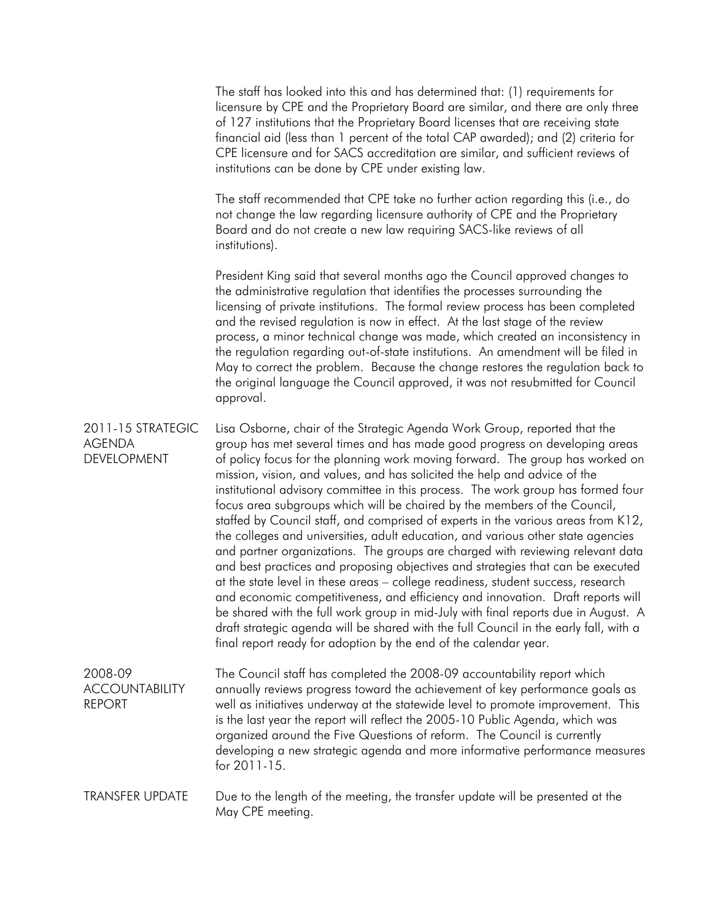The staff has looked into this and has determined that: (1) requirements for licensure by CPE and the Proprietary Board are similar, and there are only three of 127 institutions that the Proprietary Board licenses that are receiving state financial aid (less than 1 percent of the total CAP awarded); and (2) criteria for CPE licensure and for SACS accreditation are similar, and sufficient reviews of institutions can be done by CPE under existing law. The staff recommended that CPE take no further action regarding this (i.e., do not change the law regarding licensure authority of CPE and the Proprietary Board and do not create a new law requiring SACS-like reviews of all institutions). President King said that several months ago the Council approved changes to the administrative regulation that identifies the processes surrounding the licensing of private institutions. The formal review process has been completed and the revised regulation is now in effect. At the last stage of the review process, a minor technical change was made, which created an inconsistency in the regulation regarding out-of-state institutions. An amendment will be filed in May to correct the problem. Because the change restores the regulation back to the original language the Council approved, it was not resubmitted for Council approval. 2011-15 STRATEGIC AGENDA DEVELOPMENT Lisa Osborne, chair of the Strategic Agenda Work Group, reported that the group has met several times and has made good progress on developing areas of policy focus for the planning work moving forward. The group has worked on mission, vision, and values, and has solicited the help and advice of the institutional advisory committee in this process. The work group has formed four focus area subgroups which will be chaired by the members of the Council, staffed by Council staff, and comprised of experts in the various areas from K12, the colleges and universities, adult education, and various other state agencies and partner organizations. The groups are charged with reviewing relevant data and best practices and proposing objectives and strategies that can be executed at the state level in these areas – college readiness, student success, research and economic competitiveness, and efficiency and innovation. Draft reports will be shared with the full work group in mid-July with final reports due in August. A draft strategic agenda will be shared with the full Council in the early fall, with a final report ready for adoption by the end of the calendar year. 2008-09 **ACCOUNTABILITY** REPORT The Council staff has completed the 2008-09 accountability report which annually reviews progress toward the achievement of key performance goals as well as initiatives underway at the statewide level to promote improvement. This is the last year the report will reflect the 2005-10 Public Agenda, which was organized around the Five Questions of reform. The Council is currently developing a new strategic agenda and more informative performance measures for 2011-15.

## TRANSFER UPDATE Due to the length of the meeting, the transfer update will be presented at the May CPE meeting.